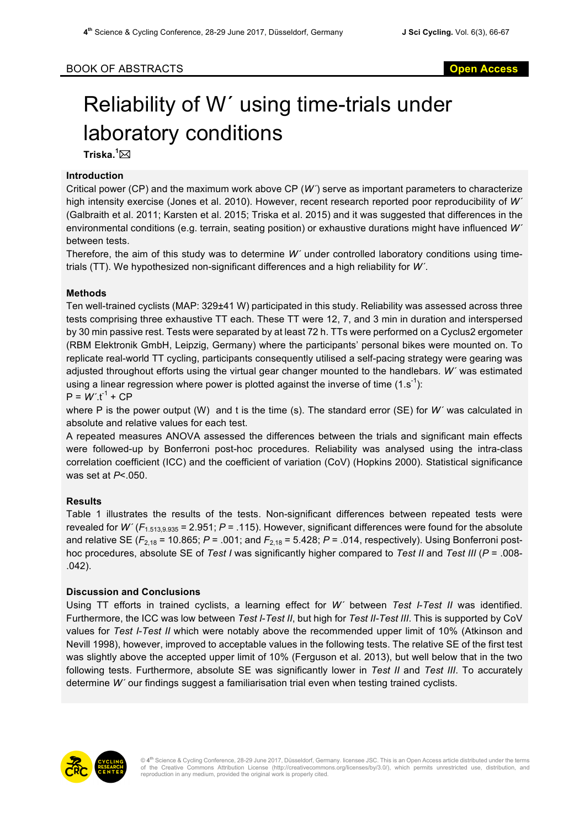# Reliability of W´ using time-trials under laboratory conditions

 $\mathsf{T}$ riska. $^1\boxtimes$ 

### **Introduction**

Critical power (CP) and the maximum work above CP (*W´*) serve as important parameters to characterize high intensity exercise (Jones et al. 2010). However, recent research reported poor reproducibility of *W´* (Galbraith et al. 2011; Karsten et al. 2015; Triska et al. 2015) and it was suggested that differences in the environmental conditions (e.g. terrain, seating position) or exhaustive durations might have influenced *W´* between tests.

Therefore, the aim of this study was to determine *W´* under controlled laboratory conditions using timetrials (TT). We hypothesized non-significant differences and a high reliability for *W´*.

## **Methods**

Ten well-trained cyclists (MAP: 329±41 W) participated in this study. Reliability was assessed across three tests comprising three exhaustive TT each. These TT were 12, 7, and 3 min in duration and interspersed by 30 min passive rest. Tests were separated by at least 72 h. TTs were performed on a Cyclus2 ergometer (RBM Elektronik GmbH, Leipzig, Germany) where the participants' personal bikes were mounted on. To replicate real-world TT cycling, participants consequently utilised a self-pacing strategy were gearing was adjusted throughout efforts using the virtual gear changer mounted to the handlebars. *W´* was estimated using a linear regression where power is plotted against the inverse of time (1.s<sup>-1</sup>):

 $P = W'.t^{-1} + CP$ 

where P is the power output (W) and t is the time (s). The standard error (SE) for *W´* was calculated in absolute and relative values for each test.

A repeated measures ANOVA assessed the differences between the trials and significant main effects were followed-up by Bonferroni post-hoc procedures. Reliability was analysed using the intra-class correlation coefficient (ICC) and the coefficient of variation (CoV) (Hopkins 2000). Statistical significance was set at *P*<.050.

## **Results**

Table 1 illustrates the results of the tests. Non-significant differences between repeated tests were revealed for *W´* (*F*1.513,9.935 = 2.951; *P* = .115). However, significant differences were found for the absolute and relative SE (*F*2,18 = 10.865; *P* = .001; and *F*2,18 = 5.428; *P* = .014, respectively). Using Bonferroni posthoc procedures, absolute SE of *Test I* was significantly higher compared to *Test II* and *Test III* (*P* = .008- .042).

## **Discussion and Conclusions**

Using TT efforts in trained cyclists, a learning effect for *W´* between *Test I*-*Test II* was identified. Furthermore, the ICC was low between *Test I*-*Test II*, but high for *Test II-Test III*. This is supported by CoV values for *Test I*-*Test II* which were notably above the recommended upper limit of 10% (Atkinson and Nevill 1998), however, improved to acceptable values in the following tests. The relative SE of the first test was slightly above the accepted upper limit of 10% (Ferguson et al. 2013), but well below that in the two following tests. Furthermore, absolute SE was significantly lower in *Test II* and *Test III*. To accurately determine *W´* our findings suggest a familiarisation trial even when testing trained cyclists.